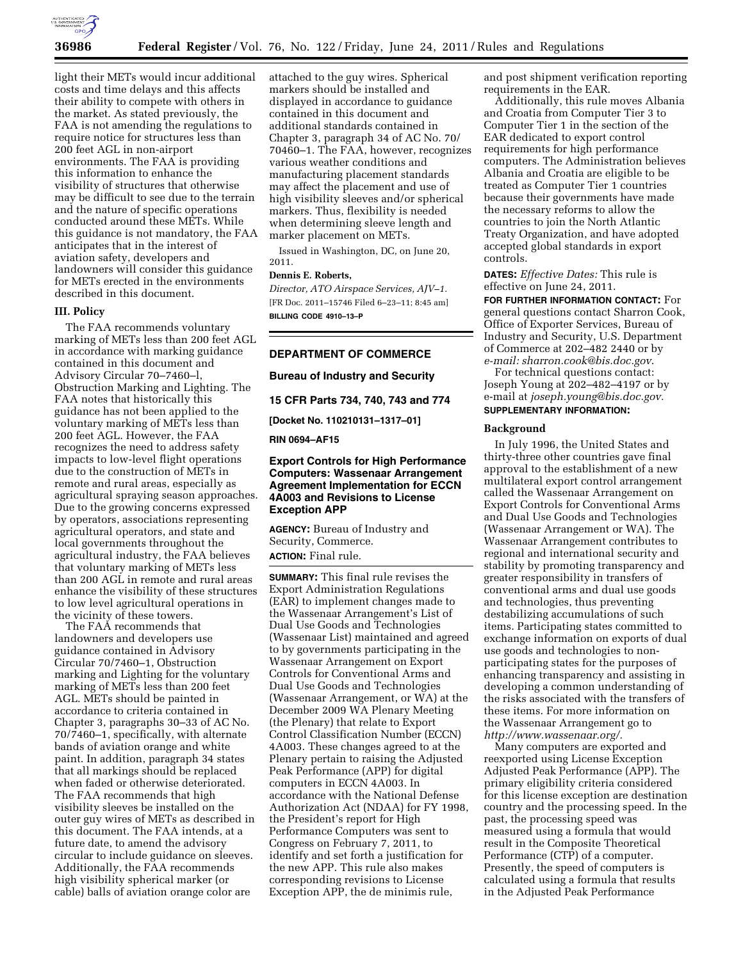

light their METs would incur additional costs and time delays and this affects their ability to compete with others in the market. As stated previously, the FAA is not amending the regulations to require notice for structures less than 200 feet AGL in non-airport environments. The FAA is providing this information to enhance the visibility of structures that otherwise may be difficult to see due to the terrain and the nature of specific operations conducted around these METs. While this guidance is not mandatory, the FAA anticipates that in the interest of aviation safety, developers and landowners will consider this guidance for METs erected in the environments described in this document.

### **III. Policy**

The FAA recommends voluntary marking of METs less than 200 feet AGL in accordance with marking guidance contained in this document and Advisory Circular 70–7460–l, Obstruction Marking and Lighting. The FAA notes that historically this guidance has not been applied to the voluntary marking of METs less than 200 feet AGL. However, the FAA recognizes the need to address safety impacts to low-level flight operations due to the construction of METs in remote and rural areas, especially as agricultural spraying season approaches. Due to the growing concerns expressed by operators, associations representing agricultural operators, and state and local governments throughout the agricultural industry, the FAA believes that voluntary marking of METs less than 200 AGL in remote and rural areas enhance the visibility of these structures to low level agricultural operations in the vicinity of these towers.

The FAA recommends that landowners and developers use guidance contained in Advisory Circular 70/7460–1, Obstruction marking and Lighting for the voluntary marking of METs less than 200 feet AGL. METs should be painted in accordance to criteria contained in Chapter 3, paragraphs 30–33 of AC No. 70/7460–1, specifically, with alternate bands of aviation orange and white paint. In addition, paragraph 34 states that all markings should be replaced when faded or otherwise deteriorated. The FAA recommends that high visibility sleeves be installed on the outer guy wires of METs as described in this document. The FAA intends, at a future date, to amend the advisory circular to include guidance on sleeves. Additionally, the FAA recommends high visibility spherical marker (or cable) balls of aviation orange color are

attached to the guy wires. Spherical markers should be installed and displayed in accordance to guidance contained in this document and additional standards contained in Chapter 3, paragraph 34 of AC No. 70/ 70460–1. The FAA, however, recognizes various weather conditions and manufacturing placement standards may affect the placement and use of high visibility sleeves and/or spherical markers. Thus, flexibility is needed when determining sleeve length and marker placement on METs.

Issued in Washington, DC, on June 20, 2011.

## **Dennis E. Roberts,**

*Director, ATO Airspace Services, AJV–1.*  [FR Doc. 2011–15746 Filed 6–23–11; 8:45 am] **BILLING CODE 4910–13–P** 

### **DEPARTMENT OF COMMERCE**

**Bureau of Industry and Security** 

**15 CFR Parts 734, 740, 743 and 774** 

**[Docket No. 110210131–1317–01]** 

**RIN 0694–AF15** 

## **Export Controls for High Performance Computers: Wassenaar Arrangement Agreement Implementation for ECCN 4A003 and Revisions to License Exception APP**

**AGENCY:** Bureau of Industry and Security, Commerce. **ACTION:** Final rule.

**SUMMARY:** This final rule revises the Export Administration Regulations (EAR) to implement changes made to the Wassenaar Arrangement's List of Dual Use Goods and Technologies (Wassenaar List) maintained and agreed to by governments participating in the Wassenaar Arrangement on Export Controls for Conventional Arms and Dual Use Goods and Technologies (Wassenaar Arrangement, or WA) at the December 2009 WA Plenary Meeting (the Plenary) that relate to Export Control Classification Number (ECCN) 4A003. These changes agreed to at the Plenary pertain to raising the Adjusted Peak Performance (APP) for digital computers in ECCN 4A003. In accordance with the National Defense Authorization Act (NDAA) for FY 1998, the President's report for High Performance Computers was sent to Congress on February 7, 2011, to identify and set forth a justification for the new APP. This rule also makes corresponding revisions to License Exception APP, the de minimis rule,

and post shipment verification reporting requirements in the EAR.

Additionally, this rule moves Albania and Croatia from Computer Tier 3 to Computer Tier 1 in the section of the EAR dedicated to export control requirements for high performance computers. The Administration believes Albania and Croatia are eligible to be treated as Computer Tier 1 countries because their governments have made the necessary reforms to allow the countries to join the North Atlantic Treaty Organization, and have adopted accepted global standards in export controls.

**DATES:** *Effective Dates:* This rule is effective on June 24, 2011.

**FOR FURTHER INFORMATION CONTACT:** For general questions contact Sharron Cook, Office of Exporter Services, Bureau of Industry and Security, U.S. Department of Commerce at 202–482 2440 or by *e-mail: [sharron.cook@bis.doc.gov](mailto:sharron.cook@bis.doc.gov)*.

For technical questions contact: Joseph Young at 202–482–4197 or by e-mail at *[joseph.young@bis.doc.gov.](mailto:joseph.young@bis.doc.gov)*  **SUPPLEMENTARY INFORMATION:** 

#### **Background**

In July 1996, the United States and thirty-three other countries gave final approval to the establishment of a new multilateral export control arrangement called the Wassenaar Arrangement on Export Controls for Conventional Arms and Dual Use Goods and Technologies (Wassenaar Arrangement or WA). The Wassenaar Arrangement contributes to regional and international security and stability by promoting transparency and greater responsibility in transfers of conventional arms and dual use goods and technologies, thus preventing destabilizing accumulations of such items. Participating states committed to exchange information on exports of dual use goods and technologies to nonparticipating states for the purposes of enhancing transparency and assisting in developing a common understanding of the risks associated with the transfers of these items. For more information on the Wassenaar Arrangement go to *[http://www.wassenaar.org/.](http://www.wassenaar.org/)* 

Many computers are exported and reexported using License Exception Adjusted Peak Performance (APP). The primary eligibility criteria considered for this license exception are destination country and the processing speed. In the past, the processing speed was measured using a formula that would result in the Composite Theoretical Performance (CTP) of a computer. Presently, the speed of computers is calculated using a formula that results in the Adjusted Peak Performance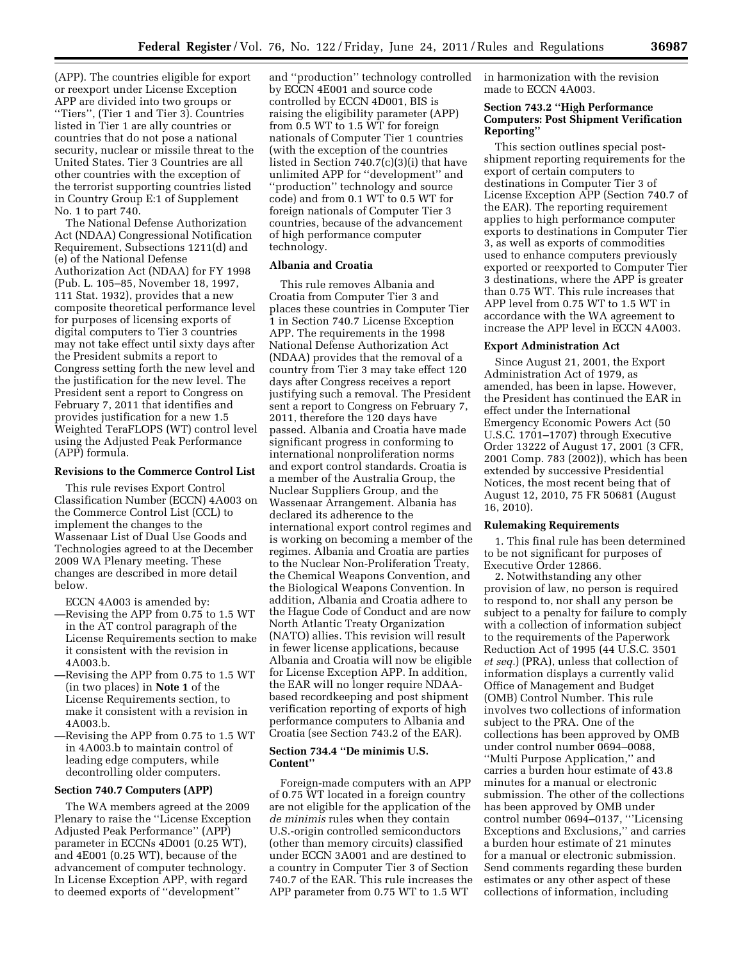(APP). The countries eligible for export or reexport under License Exception APP are divided into two groups or ''Tiers'', (Tier 1 and Tier 3). Countries listed in Tier 1 are ally countries or countries that do not pose a national security, nuclear or missile threat to the United States. Tier 3 Countries are all other countries with the exception of the terrorist supporting countries listed in Country Group E:1 of Supplement No. 1 to part 740.

The National Defense Authorization Act (NDAA) Congressional Notification Requirement, Subsections 1211(d) and (e) of the National Defense Authorization Act (NDAA) for FY 1998 (Pub. L. 105–85, November 18, 1997, 111 Stat. 1932), provides that a new composite theoretical performance level for purposes of licensing exports of digital computers to Tier 3 countries may not take effect until sixty days after the President submits a report to Congress setting forth the new level and the justification for the new level. The President sent a report to Congress on February 7, 2011 that identifies and provides justification for a new 1.5 Weighted TeraFLOPS (WT) control level using the Adjusted Peak Performance (APP) formula.

# **Revisions to the Commerce Control List**

This rule revises Export Control Classification Number (ECCN) 4A003 on the Commerce Control List (CCL) to implement the changes to the Wassenaar List of Dual Use Goods and Technologies agreed to at the December 2009 WA Plenary meeting. These changes are described in more detail below.

ECCN 4A003 is amended by:

- —Revising the APP from 0.75 to 1.5 WT in the AT control paragraph of the License Requirements section to make it consistent with the revision in 4A003.b.
- —Revising the APP from 0.75 to 1.5 WT (in two places) in **Note 1** of the License Requirements section, to make it consistent with a revision in 4A003.b.
- —Revising the APP from 0.75 to 1.5 WT in 4A003.b to maintain control of leading edge computers, while decontrolling older computers.

### **Section 740.7 Computers (APP)**

The WA members agreed at the 2009 Plenary to raise the ''License Exception Adjusted Peak Performance'' (APP) parameter in ECCNs 4D001 (0.25 WT), and 4E001 (0.25 WT), because of the advancement of computer technology. In License Exception APP, with regard to deemed exports of ''development''

and ''production'' technology controlled by ECCN 4E001 and source code controlled by ECCN 4D001, BIS is raising the eligibility parameter (APP) from 0.5 WT to 1.5 WT for foreign nationals of Computer Tier 1 countries (with the exception of the countries listed in Section 740.7(c)(3)(i) that have unlimited APP for ''development'' and ''production'' technology and source code) and from 0.1 WT to 0.5 WT for foreign nationals of Computer Tier 3 countries, because of the advancement of high performance computer technology.

## **Albania and Croatia**

This rule removes Albania and Croatia from Computer Tier 3 and places these countries in Computer Tier 1 in Section 740.7 License Exception APP. The requirements in the 1998 National Defense Authorization Act (NDAA) provides that the removal of a country from Tier 3 may take effect 120 days after Congress receives a report justifying such a removal. The President sent a report to Congress on February 7, 2011, therefore the 120 days have passed. Albania and Croatia have made significant progress in conforming to international nonproliferation norms and export control standards. Croatia is a member of the Australia Group, the Nuclear Suppliers Group, and the Wassenaar Arrangement. Albania has declared its adherence to the international export control regimes and is working on becoming a member of the regimes. Albania and Croatia are parties to the Nuclear Non-Proliferation Treaty, the Chemical Weapons Convention, and the Biological Weapons Convention. In addition, Albania and Croatia adhere to the Hague Code of Conduct and are now North Atlantic Treaty Organization (NATO) allies. This revision will result in fewer license applications, because Albania and Croatia will now be eligible for License Exception APP. In addition, the EAR will no longer require NDAAbased recordkeeping and post shipment verification reporting of exports of high performance computers to Albania and Croatia (see Section 743.2 of the EAR).

## **Section 734.4 ''De minimis U.S. Content''**

Foreign-made computers with an APP of 0.75 WT located in a foreign country are not eligible for the application of the *de minimis* rules when they contain U.S.-origin controlled semiconductors (other than memory circuits) classified under ECCN 3A001 and are destined to a country in Computer Tier 3 of Section 740.7 of the EAR. This rule increases the APP parameter from 0.75 WT to 1.5 WT

in harmonization with the revision made to ECCN 4A003.

# **Section 743.2 ''High Performance Computers: Post Shipment Verification Reporting''**

This section outlines special postshipment reporting requirements for the export of certain computers to destinations in Computer Tier 3 of License Exception APP (Section 740.7 of the EAR). The reporting requirement applies to high performance computer exports to destinations in Computer Tier 3, as well as exports of commodities used to enhance computers previously exported or reexported to Computer Tier 3 destinations, where the APP is greater than 0.75 WT. This rule increases that APP level from 0.75 WT to 1.5 WT in accordance with the WA agreement to increase the APP level in ECCN 4A003.

#### **Export Administration Act**

Since August 21, 2001, the Export Administration Act of 1979, as amended, has been in lapse. However, the President has continued the EAR in effect under the International Emergency Economic Powers Act (50 U.S.C. 1701–1707) through Executive Order 13222 of August 17, 2001 (3 CFR, 2001 Comp. 783 (2002)), which has been extended by successive Presidential Notices, the most recent being that of August 12, 2010, 75 FR 50681 (August 16, 2010).

#### **Rulemaking Requirements**

1. This final rule has been determined to be not significant for purposes of Executive Order 12866.

2. Notwithstanding any other provision of law, no person is required to respond to, nor shall any person be subject to a penalty for failure to comply with a collection of information subject to the requirements of the Paperwork Reduction Act of 1995 (44 U.S.C. 3501 *et seq.*) (PRA), unless that collection of information displays a currently valid Office of Management and Budget (OMB) Control Number. This rule involves two collections of information subject to the PRA. One of the collections has been approved by OMB under control number 0694–0088, ''Multi Purpose Application,'' and carries a burden hour estimate of 43.8 minutes for a manual or electronic submission. The other of the collections has been approved by OMB under control number 0694–0137, '''Licensing Exceptions and Exclusions,'' and carries a burden hour estimate of 21 minutes for a manual or electronic submission. Send comments regarding these burden estimates or any other aspect of these collections of information, including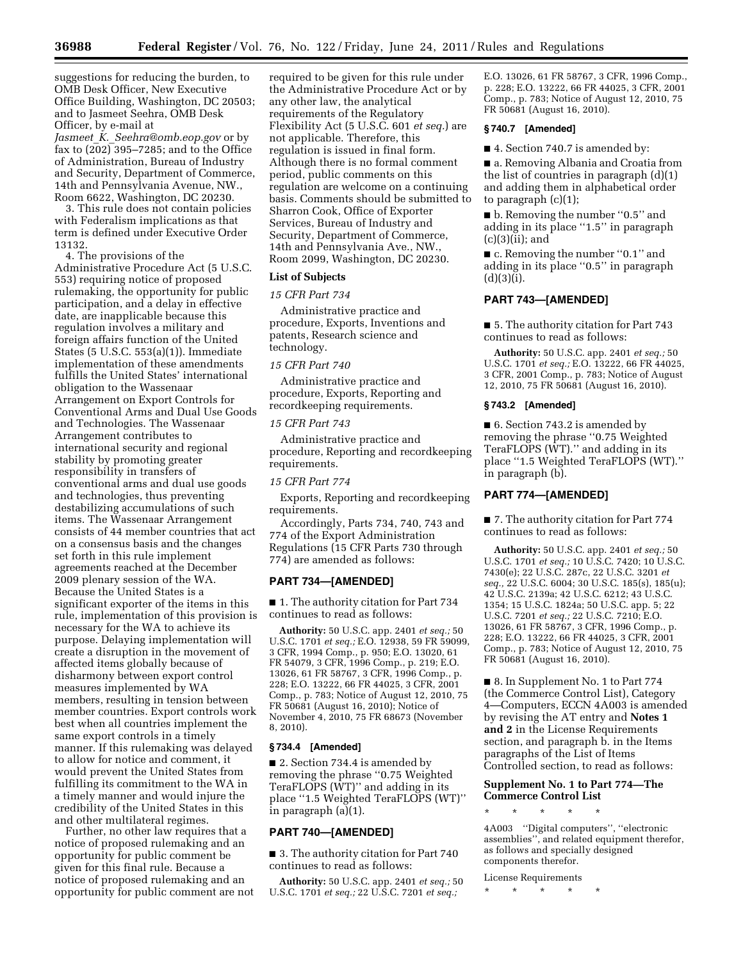suggestions for reducing the burden, to OMB Desk Officer, New Executive Office Building, Washington, DC 20503; and to Jasmeet Seehra, OMB Desk Officer, by e-mail at *Jasmeet*\_*K.*\_*[Seehra@omb.eop.gov](mailto:Jasmeet_K._Seehra@omb.eop.gov)* or by fax to (202) 395–7285; and to the Office of Administration, Bureau of Industry and Security, Department of Commerce, 14th and Pennsylvania Avenue, NW., Room 6622, Washington, DC 20230.

3. This rule does not contain policies with Federalism implications as that term is defined under Executive Order 13132.

4. The provisions of the Administrative Procedure Act (5 U.S.C. 553) requiring notice of proposed rulemaking, the opportunity for public participation, and a delay in effective date, are inapplicable because this regulation involves a military and foreign affairs function of the United States (5 U.S.C. 553(a)(1)). Immediate implementation of these amendments fulfills the United States' international obligation to the Wassenaar Arrangement on Export Controls for Conventional Arms and Dual Use Goods and Technologies. The Wassenaar Arrangement contributes to international security and regional stability by promoting greater responsibility in transfers of conventional arms and dual use goods and technologies, thus preventing destabilizing accumulations of such items. The Wassenaar Arrangement consists of 44 member countries that act on a consensus basis and the changes set forth in this rule implement agreements reached at the December 2009 plenary session of the WA. Because the United States is a significant exporter of the items in this rule, implementation of this provision is necessary for the WA to achieve its purpose. Delaying implementation will create a disruption in the movement of affected items globally because of disharmony between export control measures implemented by WA members, resulting in tension between member countries. Export controls work best when all countries implement the same export controls in a timely manner. If this rulemaking was delayed to allow for notice and comment, it would prevent the United States from fulfilling its commitment to the WA in a timely manner and would injure the credibility of the United States in this and other multilateral regimes.

Further, no other law requires that a notice of proposed rulemaking and an opportunity for public comment be given for this final rule. Because a notice of proposed rulemaking and an opportunity for public comment are not

required to be given for this rule under the Administrative Procedure Act or by any other law, the analytical requirements of the Regulatory Flexibility Act (5 U.S.C. 601 *et seq.*) are not applicable. Therefore, this regulation is issued in final form. Although there is no formal comment period, public comments on this regulation are welcome on a continuing basis. Comments should be submitted to Sharron Cook, Office of Exporter Services, Bureau of Industry and Security, Department of Commerce, 14th and Pennsylvania Ave., NW., Room 2099, Washington, DC 20230.

### **List of Subjects**

## *15 CFR Part 734*

Administrative practice and procedure, Exports, Inventions and patents, Research science and technology.

# *15 CFR Part 740*

Administrative practice and procedure, Exports, Reporting and recordkeeping requirements.

## *15 CFR Part 743*

Administrative practice and procedure, Reporting and recordkeeping requirements.

#### *15 CFR Part 774*

Exports, Reporting and recordkeeping requirements.

Accordingly, Parts 734, 740, 743 and 774 of the Export Administration Regulations (15 CFR Parts 730 through 774) are amended as follows:

## **PART 734—[AMENDED]**

■ 1. The authority citation for Part 734 continues to read as follows:

**Authority:** 50 U.S.C. app. 2401 *et seq.;* 50 U.S.C. 1701 *et seq.;* E.O. 12938, 59 FR 59099, 3 CFR, 1994 Comp., p. 950; E.O. 13020, 61 FR 54079, 3 CFR, 1996 Comp., p. 219; E.O. 13026, 61 FR 58767, 3 CFR, 1996 Comp., p. 228; E.O. 13222, 66 FR 44025, 3 CFR, 2001 Comp., p. 783; Notice of August 12, 2010, 75 FR 50681 (August 16, 2010); Notice of November 4, 2010, 75 FR 68673 (November 8, 2010).

## **§ 734.4 [Amended]**

■ 2. Section 734.4 is amended by removing the phrase ''0.75 Weighted TeraFLOPS (WT)'' and adding in its place ''1.5 Weighted TeraFLOPS (WT)'' in paragraph (a)(1).

## **PART 740—[AMENDED]**

■ 3. The authority citation for Part 740 continues to read as follows:

**Authority:** 50 U.S.C. app. 2401 *et seq.;* 50 U.S.C. 1701 *et seq.;* 22 U.S.C. 7201 *et seq.;* 

E.O. 13026, 61 FR 58767, 3 CFR, 1996 Comp., p. 228; E.O. 13222, 66 FR 44025, 3 CFR, 2001 Comp., p. 783; Notice of August 12, 2010, 75 FR 50681 (August 16, 2010).

# **§ 740.7 [Amended]**

■ 4. Section 740.7 is amended by:

■ a. Removing Albania and Croatia from the list of countries in paragraph (d)(1) and adding them in alphabetical order to paragraph (c)(1);

■ b. Removing the number "0.5" and adding in its place ''1.5'' in paragraph (c)(3)(ii); and

■ c. Removing the number "0.1" and adding in its place ''0.5'' in paragraph  $(d)(3)(i).$ 

## **PART 743—[AMENDED]**

■ 5. The authority citation for Part 743 continues to read as follows:

**Authority:** 50 U.S.C. app. 2401 *et seq.;* 50 U.S.C. 1701 *et seq.;* E.O. 13222, 66 FR 44025, 3 CFR, 2001 Comp., p. 783; Notice of August 12, 2010, 75 FR 50681 (August 16, 2010).

## **§ 743.2 [Amended]**

■ 6. Section 743.2 is amended by removing the phrase ''0.75 Weighted TeraFLOPS (WT).'' and adding in its place ''1.5 Weighted TeraFLOPS (WT).'' in paragraph (b).

## **PART 774—[AMENDED]**

■ 7. The authority citation for Part 774 continues to read as follows:

**Authority:** 50 U.S.C. app. 2401 *et seq.;* 50 U.S.C. 1701 *et seq.;* 10 U.S.C. 7420; 10 U.S.C. 7430(e); 22 U.S.C. 287c, 22 U.S.C. 3201 *et seq.,* 22 U.S.C. 6004; 30 U.S.C. 185(s), 185(u); 42 U.S.C. 2139a; 42 U.S.C. 6212; 43 U.S.C. 1354; 15 U.S.C. 1824a; 50 U.S.C. app. 5; 22 U.S.C. 7201 *et seq.;* 22 U.S.C. 7210; E.O. 13026, 61 FR 58767, 3 CFR, 1996 Comp., p. 228; E.O. 13222, 66 FR 44025, 3 CFR, 2001 Comp., p. 783; Notice of August 12, 2010, 75 FR 50681 (August 16, 2010).

■ 8. In Supplement No. 1 to Part 774 (the Commerce Control List), Category 4—Computers, ECCN 4A003 is amended by revising the AT entry and **Notes 1 and 2** in the License Requirements section, and paragraph b. in the Items paragraphs of the List of Items Controlled section, to read as follows:

## **Supplement No. 1 to Part 774—The Commerce Control List**

\* \* \* \* \*

4A003 ''Digital computers'', ''electronic assemblies'', and related equipment therefor, as follows and specially designed components therefor.

License Requirements

\* \* \* \* \*